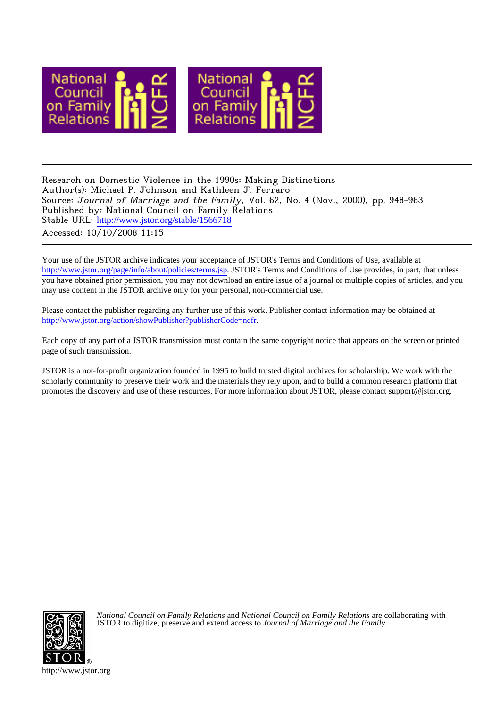

Research on Domestic Violence in the 1990s: Making Distinctions Author(s): Michael P. Johnson and Kathleen J. Ferraro Source: Journal of Marriage and the Family, Vol. 62, No. 4 (Nov., 2000), pp. 948-963 Published by: National Council on Family Relations Stable URL: [http://www.jstor.org/stable/1566718](http://www.jstor.org/stable/1566718?origin=JSTOR-pdf) Accessed: 10/10/2008 11:15

Your use of the JSTOR archive indicates your acceptance of JSTOR's Terms and Conditions of Use, available at <http://www.jstor.org/page/info/about/policies/terms.jsp>. JSTOR's Terms and Conditions of Use provides, in part, that unless you have obtained prior permission, you may not download an entire issue of a journal or multiple copies of articles, and you may use content in the JSTOR archive only for your personal, non-commercial use.

Please contact the publisher regarding any further use of this work. Publisher contact information may be obtained at <http://www.jstor.org/action/showPublisher?publisherCode=ncfr>.

Each copy of any part of a JSTOR transmission must contain the same copyright notice that appears on the screen or printed page of such transmission.

JSTOR is a not-for-profit organization founded in 1995 to build trusted digital archives for scholarship. We work with the scholarly community to preserve their work and the materials they rely upon, and to build a common research platform that promotes the discovery and use of these resources. For more information about JSTOR, please contact support@jstor.org.



*National Council on Family Relations* and *National Council on Family Relations* are collaborating with JSTOR to digitize, preserve and extend access to *Journal of Marriage and the Family.*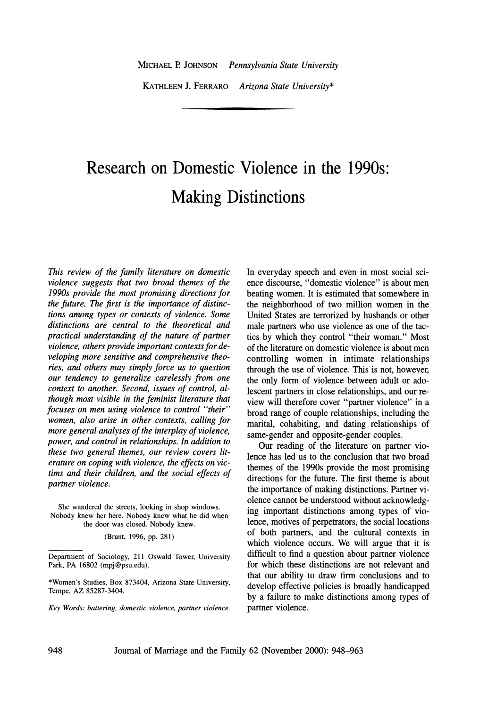**MICHAEL P. JOHNSON Pennsylvania State University** 

**KATHLEEN J.FERRARO Arizona State University\*** 

# **Research on Domestic Violence in the 1990s: Making Distinctions**

**This review of the family literature on domestic violence suggests that two broad themes of the 1990s provide the most promising directions for the future. The first is the importance of distinctions among types or contexts of violence. Some distinctions are central to the theoretical and practical understanding of the nature of partner violence, others provide important contexts for developing more sensitive and comprehensive theories, and others may simply force us to question our tendency to generalize carelessly from one context to another. Second, issues of control, although most visible in the feminist literature that focuses on men using violence to control "their" women, also arise in other contexts, calling for more general analyses of the interplay of violence, power, and control in relationships. In addition to these two general themes, our review covers literature on coping with violence, the effects on victims and their children, and the social effects of partner violence.** 

**She wandered the streets, looking in shop windows. Nobody knew her here. Nobody knew what he did when the door was closed. Nobody knew.** 

**(Brant, 1996, pp. 281)** 

**Department of Sociology, 211 Oswald Tower, University Park, PA 16802 (mpj@psu.edu).** 

**\*Women's Studies, Box 873404, Arizona State University, Tempe, AZ 85287-3404.** 

**Key Words: battering, domestic violence, partner violence.** 

**In everyday speech and even in most social science discourse, "domestic violence" is about men beating women. It is estimated that somewhere in the neighborhood of two million women in the United States are terrorized by husbands or other male partners who use violence as one of the tactics by which they control "their woman." Most of the literature on domestic violence is about men controlling women in intimate relationships through the use of violence. This is not, however, the only form of violence between adult or adolescent partners in close relationships, and our review will therefore cover "partner violence" in a broad range of couple relationships, including the marital, cohabiting, and dating relationships of same-gender and opposite-gender couples.** 

**Our reading of the literature on partner violence has led us to the conclusion that two broad themes of the 1990s provide the most promising directions for the future. The first theme is about the importance of making distinctions. Partner violence cannot be understood without acknowledging important distinctions among types of violence, motives of perpetrators, the social locations of both partners, and the cultural contexts in which violence occurs. We will argue that it is difficult to find a question about partner violence for which these distinctions are not relevant and that our ability to draw firm conclusions and to develop effective policies is broadly handicapped by a failure to make distinctions among types of partner violence.**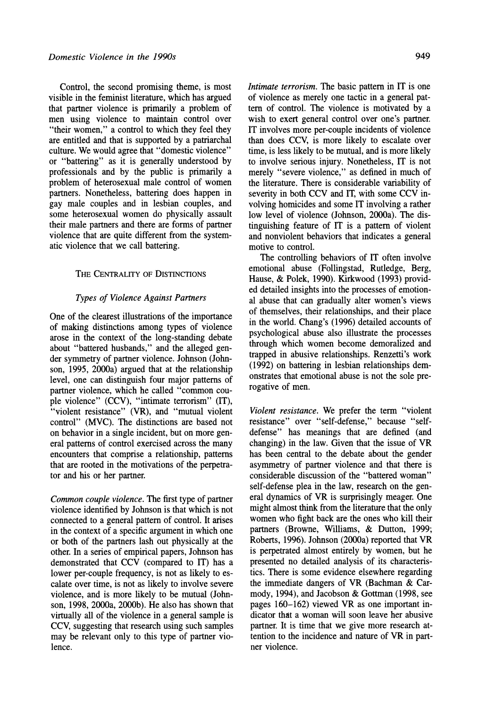**Control, the second promising theme, is most visible in the feminist literature, which has argued that partner violence is primarily a problem of men using violence to maintain control over "their women," a control to which they feel they are entitled and that is supported by a patriarchal culture. We would agree that "domestic violence" or "battering" as it is generally understood by professionals and by the public is primarily a problem of heterosexual male control of women partners. Nonetheless, battering does happen in gay male couples and in lesbian couples, and some heterosexual women do physically assault their male partners and there are forms of partner violence that are quite different from the systematic violence that we call battering.** 

## **THE CENTRALITY OF DISTINCTIONS**

# **Types of Violence Against Partners**

**One of the clearest illustrations of the importance of making distinctions among types of violence arose in the context of the long-standing debate about "battered husbands," and the alleged gender symmetry of partner violence. Johnson (Johnson, 1995, 2000a) argued that at the relationship level, one can distinguish four major patterns of partner violence, which he called "common couple violence" (CCV), "intimate terrorism" (IT), "violent resistance" (VR), and "mutual violent control" (MVC). The distinctions are based not on behavior in a single incident, but on more general patterns of control exercised across the many encounters that comprise a relationship, patterns that are rooted in the motivations of the perpetrator and his or her partner.** 

**Common couple violence. The first type of partner violence identified by Johnson is that which is not connected to a general pattern of control. It arises in the context of a specific argument in which one or both of the partners lash out physically at the other. In a series of empirical papers, Johnson has demonstrated that CCV (compared to IT) has a lower per-couple frequency, is not as likely to escalate over time, is not as likely to involve severe violence, and is more likely to be mutual (Johnson, 1998, 2000a, 2000b). He also has shown that virtually all of the violence in a general sample is CCV, suggesting that research using such samples may be relevant only to this type of partner violence.** 

**Intimate terrorism. The basic pattern in IT is one of violence as merely one tactic in a general pattern of control. The violence is motivated by a wish to exert general control over one's partner. IT involves more per-couple incidents of violence than does CCV, is more likely to escalate over time, is less likely to be mutual, and is more likely to involve serious injury. Nonetheless, IT is not merely "severe violence," as defined in much of the literature. There is considerable variability of severity in both CCV and IT, with some CCV involving homicides and some IT involving a rather low level of violence (Johnson, 2000a). The distinguishing feature of IT is a pattern of violent and nonviolent behaviors that indicates a general motive to control.** 

**The controlling behaviors of IT often involve emotional abuse (Follingstad, Rutledge, Berg, Hause, & Polek, 1990). Kirkwood (1993) provided detailed insights into the processes of emotional abuse that can gradually alter women's views of themselves, their relationships, and their place in the world. Chang's (1996) detailed accounts of psychological abuse also illustrate the processes through which women become demoralized and trapped in abusive relationships. Renzetti's work (1992) on battering in lesbian relationships demonstrates that emotional abuse is not the sole prerogative of men.** 

**Violent resistance. We prefer the term "violent resistance" over "self-defense," because "selfdefense" has meanings that are defined (and changing) in the law. Given that the issue of VR has been central to the debate about the gender asymmetry of partner violence and that there is considerable discussion of the "battered woman" self-defense plea in the law, research on the general dynamics of VR is surprisingly meager. One might almost think from the literature that the only women who fight back are the ones who kill their partners (Browne, Williams, & Dutton, 1999; Roberts, 1996). Johnson (2000a) reported that VR is perpetrated almost entirely by women, but he presented no detailed analysis of its characteristics. There is some evidence elsewhere regarding the immediate dangers of VR (Bachman & Carmody, 1994), and Jacobson & Gottman (1998, see pages 160-162) viewed VR as one important indicator that a woman will soon leave her abusive partner. It is time that we give more research attention to the incidence and nature of VR in partner violence.**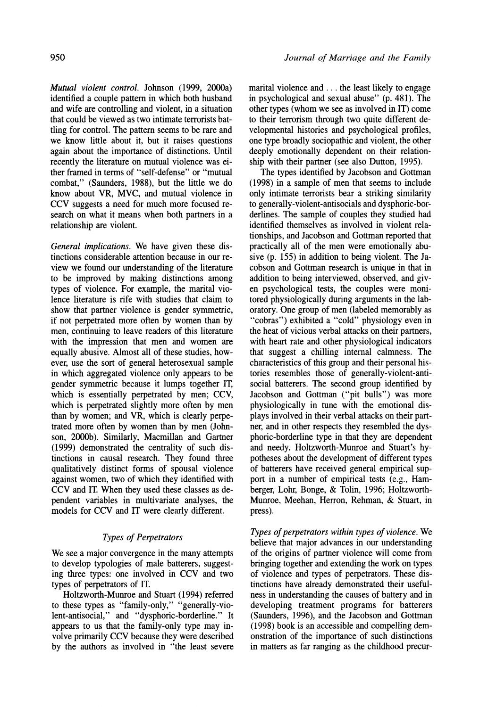**Mutual violent control. Johnson (1999, 2000a) identified a couple pattern in which both husband and wife are controlling and violent, in a situation that could be viewed as two intimate terrorists battling for control. The pattern seems to be rare and we know little about it, but it raises questions again about the importance of distinctions. Until recently the literature on mutual violence was either framed in terms of "self-defense" or "mutual combat," (Saunders, 1988), but the little we do know about VR, MVC, and mutual violence in CCV suggests a need for much more focused research on what it means when both partners in a relationship are violent.** 

**General implications. We have given these distinctions considerable attention because in our review we found our understanding of the literature to be improved by making distinctions among types of violence. For example, the marital violence literature is rife with studies that claim to show that partner violence is gender symmetric, if not perpetrated more often by women than by men, continuing to leave readers of this literature with the impression that men and women are equally abusive. Almost all of these studies, however, use the sort of general heterosexual sample in which aggregated violence only appears to be gender symmetric because it lumps together IT, which is essentially perpetrated by men; CCV, which is perpetrated slightly more often by men than by women; and VR, which is clearly perpetrated more often by women than by men (Johnson, 2000b). Similarly, Macmillan and Gartner (1999) demonstrated the centrality of such distinctions in causal research. They found three qualitatively distinct forms of spousal violence against women, two of which they identified with CCV and IT. When they used these classes as dependent variables in multivariate analyses, the models for CCV and IT were clearly different.** 

# **Types of Perpetrators**

**We see a major convergence in the many attempts to develop typologies of male batterers, suggesting three types: one involved in CCV and two types of perpetrators of IT.** 

**Holtzworth-Munroe and Stuart (1994) referred to these types as "family-only," "generally-violent-antisocial," and "dysphoric-borderline." It appears to us that the family-only type may involve primarily CCV because they were described by the authors as involved in "the least severe** 

**marital violence and ... the least likely to engage in psychological and sexual abuse" (p. 481). The other types (whom we see as involved in IT) come to their terrorism through two quite different developmental histories and psychological profiles, one type broadly sociopathic and violent, the other deeply emotionally dependent on their relationship with their partner (see also Dutton, 1995).** 

**The types identified by Jacobson and Gottman (1998) in a sample of men that seems to include only intimate terrorists bear a striking similarity to generally-violent-antisocials and dysphoric-borderlines. The sample of couples they studied had identified themselves as involved in violent relationships, and Jacobson and Gottman reported that practically all of the men were emotionally abusive (p. 155) in addition to being violent. The Jacobson and Gottman research is unique in that in addition to being interviewed, observed, and given psychological tests, the couples were monitored physiologically during arguments in the laboratory. One group of men (labeled memorably as "cobras") exhibited a "cold" physiology even in the heat of vicious verbal attacks on their partners, with heart rate and other physiological indicators that suggest a chilling internal calmness. The characteristics of this group and their personal histories resembles those of generally-violent-antisocial batterers. The second group identified by Jacobson and Gottman ("pit bulls") was more physiologically in tune with the emotional displays involved in their verbal attacks on their partner, and in other respects they resembled the dysphoric-borderline type in that they are dependent and needy. Holtzworth-Munroe and Stuart's hypotheses about the development of different types of batterers have received general empirical support in a number of empirical tests (e.g., Hamberger, Lohr, Bonge, & Tolin, 1996; Holtzworth-Munroe, Meehan, Herron, Rehman, & Stuart, in press).** 

**Types of perpetrators within types of violence. We believe that major advances in our understanding of the origins of partner violence will come from bringing together and extending the work on types of violence and types of perpetrators. These distinctions have already demonstrated their usefulness in understanding the causes of battery and in developing treatment programs for batterers (Saunders, 1996), and the Jacobson and Gottman (1998) book is an accessible and compelling demonstration of the importance of such distinctions in matters as far ranging as the childhood precur-**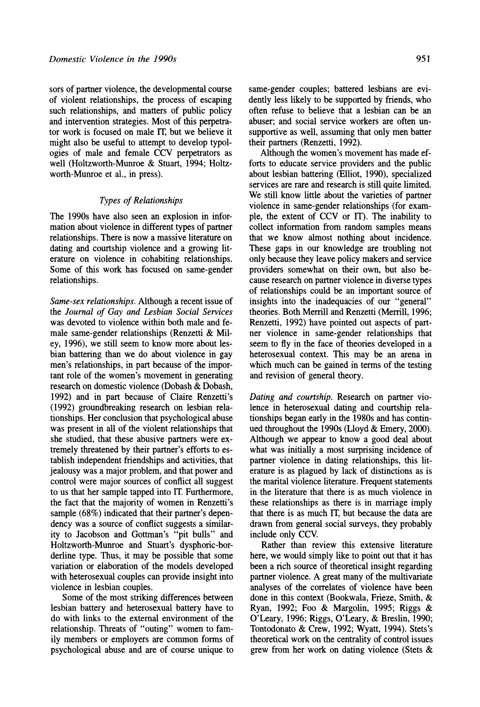**sors of partner violence, the developmental course of violent relationships, the process of escaping such relationships, and matters of public policy and intervention strategies. Most of this perpetrator work is focused on male IT, but we believe it might also be useful to attempt to develop typologies of male and female CCV perpetrators as well (Holtzworth-Munroe & Stuart, 1994; Holtz**worth-Munroe et al., in press).

#### **Types of Relationships**

**The 1990s have also seen an explosion in information about violence in different types of partner relationships. There is now a massive literature on dating and courtship violence and a growing literature on violence in cohabiting relationships. Some of this work has focused on same-gender relationships.** 

**Same-sex relationships. Although a recent issue of the Journal of Gay and Lesbian Social Services was devoted to violence within both male and female same-gender relationships (Renzetti & Miley, 1996), we still seem to know more about lesbian battering than we do about violence in gay men's relationships, in part because of the important role of the women's movement in generating research on domestic violence (Dobash & Dobash, 1992) and in part because of Claire Renzetti's (1992) groundbreaking research on lesbian relationships. Her conclusion that psychological abuse was present in all of the violent relationships that she studied, that these abusive partners were extremely threatened by their partner's efforts to establish independent friendships and activities, that jealousy was a major problem, and that power and control were major sources of conflict all suggest to us that her sample tapped into IT. Furthermore, the fact that the majority of women in Renzetti's sample (68%) indicated that their partner's dependency was a source of conflict suggests a similarity to Jacobson and Gottman's "pit bulls" and Holtzworth-Munroe and Stuart's dysphoric-borderline type. Thus, it may be possible that some variation or elaboration of the models developed with heterosexual couples can provide insight into violence in lesbian couples.** 

**Some of the most striking differences between lesbian battery and heterosexual battery have to do with links to the external environment of the relationship. Threats of "outing" women to family members or employers are common forms of psychological abuse and are of course unique to**  **same-gender couples; battered lesbians are evidently less likely to be supported by friends, who often refuse to believe that a lesbian can be an abuser; and social service workers are often unsupportive as well, assuming that only men batter their partners (Renzetti, 1992).** 

**Although the women's movement has made efforts to educate service providers and the public about lesbian battering (Elliot, 1990), specialized services are rare and research is still quite limited. We still know little about the varieties of partner violence in same-gender relationships (for example, the extent of CCV or IT). The inability to collect information from random samples means that we know almost nothing about incidence. These gaps in our knowledge are troubling not only because they leave policy makers and service providers somewhat on their own, but also because research on partner violence in diverse types of relationships could be an important source of insights into the inadequacies of our "general" theories. Both Merrill and Renzetti (Merrill, 1996; Renzetti, 1992) have pointed out aspects of partner violence in same-gender relationships that seem to fly in the face of theories developed in a heterosexual context. This may be an arena in which much can be gained in terms of the testing and revision of general theory.** 

**Dating and courtship. Research on partner violence in heterosexual dating and courtship relationships began early in the 1980s and has continued throughout the 1990s (Lloyd & Emery, 2000). Although we appear to know a good deal about what was initially a most surprising incidence of partner violence in dating relationships, this literature is as plagued by lack of distinctions as is the marital violence literature. Frequent statements in the literature that there is as much violence in these relationships as there is in marriage imply that there is as much IT, but because the data are drawn from general social surveys, they probably include only CCV.** 

**Rather than review this extensive literature here, we would simply like to point out that it has been a rich source of theoretical insight regarding partner violence. A great many of the multivariate analyses of the correlates of violence have been done in this context (Bookwala, Frieze, Smith, & Ryan, 1992; Foo & Margolin, 1995; Riggs & O'Leary, 1996; Riggs, O'Leary, & Breslin, 1990; Tontodonato & Crew, 1992; Wyatt, 1994). Stets's theoretical work on the centrality of control issues grew from her work on dating violence (Stets &**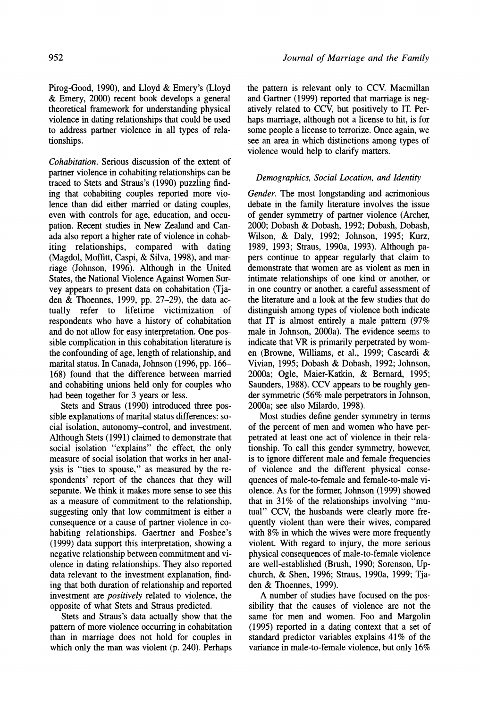**Pirog-Good, 1990), and Lloyd & Emery's (Lloyd & Emery, 2000) recent book develops a general theoretical framework for understanding physical violence in dating relationships that could be used to address partner violence in all types of relationships.** 

**Cohabitation. Serious discussion of the extent of partner violence in cohabiting relationships can be traced to Stets and Straus's (1990) puzzling finding that cohabiting couples reported more violence than did either married or dating couples, even with controls for age, education, and occupation. Recent studies in New Zealand and Canada also report a higher rate of violence in cohab**compared with dating **(Magdol, Moffitt, Caspi, & Silva, 1998), and marriage (Johnson, 1996). Although in the United States, the National Violence Against Women Survey appears to present data on cohabitation (Tjaden & Thoennes, 1999, pp. 27-29), the data actually refer to lifetime victimization of respondents who have a history of cohabitation and do not allow for easy interpretation. One possible complication in this cohabitation literature is the confounding of age, length of relationship, and marital status. In Canada, Johnson (1996, pp. 166- 168) found that the difference between married and cohabiting unions held only for couples who had been together for 3 years or less.** 

**Stets and Straus (1990) introduced three possible explanations of marital status differences: social isolation, autonomy-control, and investment. Although Stets (1991) claimed to demonstrate that social isolation "explains" the effect, the only measure of social isolation that works in her analysis is "ties to spouse," as measured by the respondents' report of the chances that they will separate. We think it makes more sense to see this as a measure of commitment to the relationship, suggesting only that low commitment is either a consequence or a cause of partner violence in cohabiting relationships. Gaertner and Foshee's (1999) data support this interpretation, showing a negative relationship between commitment and violence in dating relationships. They also reported data relevant to the investment explanation, finding that both duration of relationship and reported investment are positively related to violence, the opposite of what Stets and Straus predicted.** 

**Stets and Straus's data actually show that the pattern of more violence occurring in cohabitation than in marriage does not hold for couples in which only the man was violent (p. 240). Perhaps** 

**the pattern is relevant only to CCV. Macmillan and Gartner (1999) reported that marriage is negatively related to CCV, but positively to IT. Perhaps marriage, although not a license to hit, is for some people a license to terrorize. Once again, we see an area in which distinctions among types of violence would help to clarify matters.** 

# **Demographics, Social Location, and Identity**

**Gender. The most longstanding and acrimonious debate in the family literature involves the issue of gender symmetry of partner violence (Archer, 2000; Dobash & Dobash, 1992; Dobash, Dobash, Wilson, & Daly, 1992; Johnson, 1995; Kurz, 1989, 1993; Straus, 1990a, 1993). Although papers continue to appear regularly that claim to demonstrate that women are as violent as men in intimate relationships of one kind or another, or in one country or another, a careful assessment of the literature and a look at the few studies that do distinguish among types of violence both indicate that IT is almost entirely a male pattern (97% male in Johnson, 2000a). The evidence seems to indicate that VR is primarily perpetrated by women (Browne, Williams, et al., 1999; Cascardi & Vivian, 1995; Dobash & Dobash, 1992; Johnson, 2000a; Ogle, Maier-Katkin, & Bernard, 1995; Saunders, 1988). CCV appears to be roughly gender symmetric (56% male perpetrators in Johnson, 2000a; see also Milardo, 1998).** 

**Most studies define gender symmetry in terms of the percent of men and women who have perpetrated at least one act of violence in their relationship. To call this gender symmetry, however, is to ignore different male and female frequencies of violence and the different physical consequences of male-to-female and female-to-male violence. As for the former, Johnson (1999) showed that in 31% of the relationships involving "mutual" CCV, the husbands were clearly more frequently violent than were their wives, compared with 8% in which the wives were more frequently violent. With regard to injury, the more serious physical consequences of male-to-female violence are well-established (Brush, 1990; Sorenson, Upchurch, & Shen, 1996; Straus, 1990a, 1999; Tjaden & Thoennes, 1999).** 

**A number of studies have focused on the possibility that the causes of violence are not the same for men and women. Foo and Margolin (1995) reported in a dating context that a set of standard predictor variables explains 41% of the variance in male-to-female violence, but only 16%**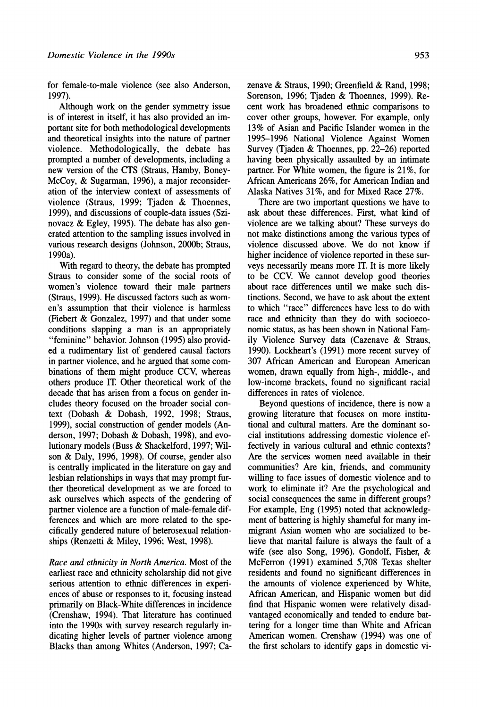**for female-to-male violence (see also Anderson, 1997).** 

**Although work on the gender symmetry issue is of interest in itself, it has also provided an important site for both methodological developments and theoretical insights into the nature of partner violence. Methodologically, the debate has prompted a number of developments, including a new version of the CTS (Straus, Hamby, Boney-McCoy, & Sugarman, 1996), a major reconsideration of the interview context of assessments of violence (Straus, 1999; Tjaden & Thoennes, 1999), and discussions of couple-data issues (Szinovacz & Egley, 1995). The debate has also generated attention to the sampling issues involved in various research designs (Johnson, 2000b; Straus, 1990a).** 

**With regard to theory, the debate has prompted Straus to consider some of the social roots of women's violence toward their male partners (Straus, 1999). He discussed factors such as women's assumption that their violence is harmless (Fiebert & Gonzalez, 1997) and that under some conditions slapping a man is an appropriately "feminine" behavior. Johnson (1995) also provided a rudimentary list of gendered causal factors in partner violence, and he argued that some combinations of them might produce CCV, whereas others produce IT. Other theoretical work of the decade that has arisen from a focus on gender includes theory focused on the broader social context (Dobash & Dobash, 1992, 1998; Straus, 1999), social construction of gender models (Anderson, 1997; Dobash & Dobash, 1998), and evolutionary models (Buss & Shackelford, 1997; Wilson & Daly, 1996, 1998). Of course, gender also is centrally implicated in the literature on gay and lesbian relationships in ways that may prompt further theoretical development as we are forced to ask ourselves which aspects of the gendering of partner violence are a function of male-female differences and which are more related to the specifically gendered nature of heterosexual relationships (Renzetti & Miley, 1996; West, 1998).** 

**Race and ethnicity in North America. Most of the earliest race and ethnicity scholarship did not give serious attention to ethnic differences in experiences of abuse or responses to it, focusing instead primarily on Black-White differences in incidence (Crenshaw, 1994). That literature has continued into the 1990s with survey research regularly indicating higher levels of partner violence among Blacks than among Whites (Anderson, 1997; Ca-** **zenave & Straus, 1990; Greenfield & Rand, 1998; Sorenson, 1996; Tjaden & Thoennes, 1999). Recent work has broadened ethnic comparisons to cover other groups, however. For example, only 13% of Asian and Pacific Islander women in the 1995-1996 National Violence Against Women Survey (Tjaden & Thoennes, pp. 22-26) reported** 

**having been physically assaulted by an intimate partner. For White women, the figure is 21%, for African Americans 26%, for American Indian and Alaska Natives 31%, and for Mixed Race 27%.** 

**There are two important questions we have to ask about these differences. First, what kind of violence are we talking about? These surveys do not make distinctions among the various types of violence discussed above. We do not know if higher incidence of violence reported in these surveys necessarily means more IT. It is more likely to be CCV. We cannot develop good theories about race differences until we make such distinctions. Second, we have to ask about the extent to which "race" differences have less to do with race and ethnicity than they do with socioeconomic status, as has been shown in National Family Violence Survey data (Cazenave & Straus, 1990). Lockheart's (1991) more recent survey of 307 African American and European American women, drawn equally from high-, middle-, and low-income brackets, found no significant racial differences in rates of violence.** 

**Beyond questions of incidence, there is now a growing literature that focuses on more institutional and cultural matters. Are the dominant social institutions addressing domestic violence effectively in various cultural and ethnic contexts? Are the services women need available in their communities? Are kin, friends, and community willing to face issues of domestic violence and to work to eliminate it? Are the psychological and social consequences the same in different groups? For example, Eng (1995) noted that acknowledgment of battering is highly shameful for many immigrant Asian women who are socialized to believe that marital failure is always the fault of a wife (see also Song, 1996). Gondolf, Fisher, & McFerron (1991) examined 5,708 Texas shelter residents and found no significant differences in the amounts of violence experienced by White, African American, and Hispanic women but did find that Hispanic women were relatively disadvantaged economically and tended to endure battering for a longer time than White and African American women. Crenshaw (1994) was one of the first scholars to identify gaps in domestic vi-**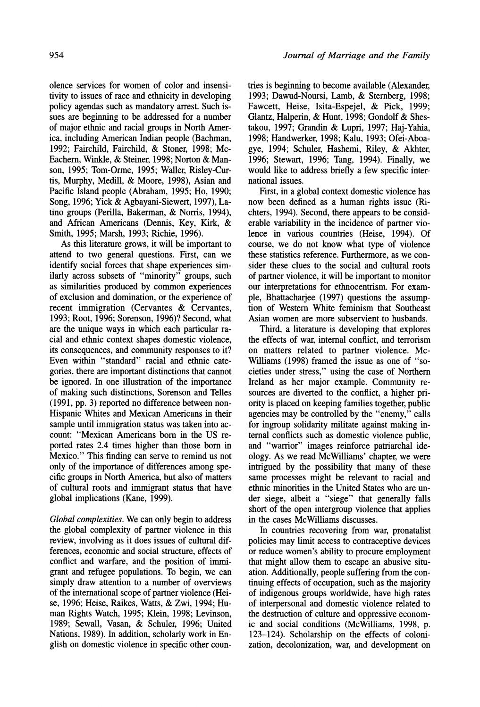**olence services for women of color and insensitivity to issues of race and ethnicity in developing policy agendas such as mandatory arrest. Such issues are beginning to be addressed for a number of major ethnic and racial groups in North America, including American Indian people (Bachman, 1992; Fairchild, Fairchild, & Stoner, 1998; Mc-Eachern, Winkle, & Steiner, 1998; Norton & Manson, 1995; Tom-Orme, 1995; Waller, Risley-Curtis, Murphy, Medill, & Moore, 1998), Asian and Pacific Island people (Abraham, 1995; Ho, 1990; Song, 1996; Yick & Agbayani-Siewert, 1997), Latino groups (Perilla, Bakerman, & Norris, 1994), and African Americans (Dennis, Key, Kirk, & Smith, 1995; Marsh, 1993; Richie, 1996).** 

**As this literature grows, it will be important to attend to two general questions. First, can we identify social forces that shape experiences similarly across subsets of "minority" groups, such as similarities produced by common experiences of exclusion and domination, or the experience of recent immigration (Cervantes & Cervantes, 1993; Root, 1996; Sorenson, 1996)? Second, what are the unique ways in which each particular racial and ethnic context shapes domestic violence, its consequences, and community responses to it? Even within "standard" racial and ethnic categories, there are important distinctions that cannot be ignored. In one illustration of the importance of making such distinctions, Sorenson and Telles (1991, pp. 3) reported no difference between non-Hispanic Whites and Mexican Americans in their sample until immigration status was taken into account: "Mexican Americans born in the US reported rates 2.4 times higher than those born in Mexico." This finding can serve to remind us not only of the importance of differences among specific groups in North America, but also of matters of cultural roots and immigrant status that have global implications (Kane, 1999).** 

**Global complexities. We can only begin to address the global complexity of partner violence in this review, involving as it does issues of cultural differences, economic and social structure, effects of conflict and warfare, and the position of immigrant and refugee populations. To begin, we can simply draw attention to a number of overviews of the international scope of partner violence (Heise, 1996; Heise, Raikes, Watts, & Zwi, 1994; Human Rights Watch, 1995; Klein, 1998; Levinson, 1989; Sewall, Vasan, & Schuler, 1996; United Nations, 1989). In addition, scholarly work in English on domestic violence in specific other coun-** **tries is beginning to become available (Alexander, 1993; Dawud-Noursi, Lamb, & Sternberg, 1998; Fawcett, Heise, Isita-Espejel, & Pick, 1999; Glantz, Halperin, & Hunt, 1998; Gondolf & Shestakou, 1997; Grandin & Lupri, 1997; Haj-Yahia, 1998; Handwerker, 1998; Kalu, 1993; Ofei-Aboagye, 1994; Schuler, Hashemi, Riley, & Akhter, 1996; Stewart, 1996; Tang, 1994). Finally, we would like to address briefly a few specific international issues.** 

**First, in a global context domestic violence has now been defined as a human rights issue (Richters, 1994). Second, there appears to be considerable variability in the incidence of partner violence in various countries (Heise, 1994). Of course, we do not know what type of violence these statistics reference. Furthermore, as we consider these clues to the social and cultural roots of partner violence, it will be important to monitor our interpretations for ethnocentrism. For example, Bhattacharjee (1997) questions the assumption of Western White feminism that Southeast Asian women are more subservient to husbands.** 

**Third, a literature is developing that explores the effects of war, internal conflict, and terrorism on matters related to partner violence. Mc-Williams (1998) framed the issue as one of "societies under stress," using the case of Northern Ireland as her major example. Community resources are diverted to the conflict, a higher priority is placed on keeping families together, public agencies may be controlled by the "enemy," calls for ingroup solidarity militate against making internal conflicts such as domestic violence public, and "warrior" images reinforce patriarchal ideology. As we read McWilliams' chapter, we were intrigued by the possibility that many of these same processes might be relevant to racial and ethnic minorities in the United States who are under siege, albeit a "siege" that generally falls short of the open intergroup violence that applies in the cases McWilliams discusses.** 

**In countries recovering from war, pronatalist policies may limit access to contraceptive devices or reduce women's ability to procure employment that might allow them to escape an abusive situation. Additionally, people suffering from the continuing effects of occupation, such as the majority of indigenous groups worldwide, have high rates of interpersonal and domestic violence related to the destruction of culture and oppressive economic and social conditions (McWilliams, 1998, p. 123-124). Scholarship on the effects of colonization, decolonization, war, and development on**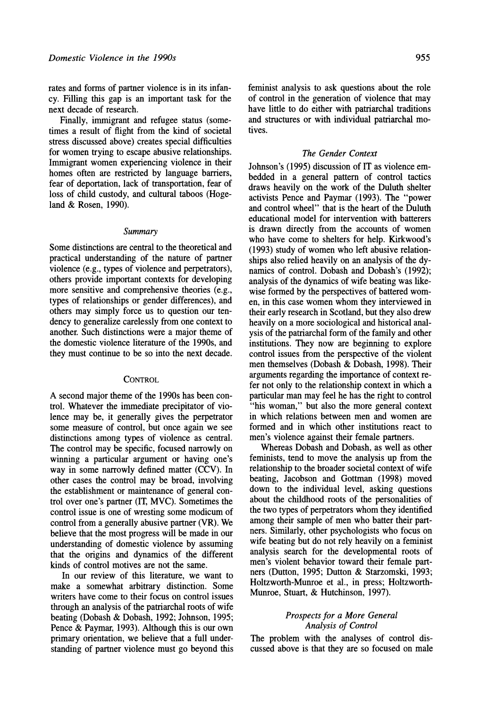**rates and forms of partner violence is in its infancy. Filling this gap is an important task for the next decade of research.** 

**Finally, immigrant and refugee status (sometimes a result of flight from the kind of societal stress discussed above) creates special difficulties for women trying to escape abusive relationships. Immigrant women experiencing violence in their homes often are restricted by language barriers, fear of deportation, lack of transportation, fear of loss of child custody, and cultural taboos (Hogeland & Rosen, 1990).** 

#### **Summary**

**Some distinctions are central to the theoretical and practical understanding of the nature of partner violence (e.g., types of violence and perpetrators), others provide important contexts for developing more sensitive and comprehensive theories (e.g., types of relationships or gender differences), and others may simply force us to question our tendency to generalize carelessly from one context to another. Such distinctions were a major theme of the domestic violence literature of the 1990s, and they must continue to be so into the next decade.** 

#### **CONTROL**

**A second major theme of the 1990s has been control. Whatever the immediate precipitator of violence may be, it generally gives the perpetrator some measure of control, but once again we see distinctions among types of violence as central. The control may be specific, focused narrowly on winning a particular argument or having one's way in some narrowly defined matter (CCV). In other cases the control may be broad, involving the establishment or maintenance of general control over one's partner (IT, MVC). Sometimes the control issue is one of wresting some modicum of control from a generally abusive partner (VR). We believe that the most progress will be made in our understanding of domestic violence by assuming that the origins and dynamics of the different kinds of control motives are not the same.** 

**In our review of this literature, we want to make a somewhat arbitrary distinction. Some writers have come to their focus on control issues through an analysis of the patriarchal roots of wife beating (Dobash & Dobash, 1992; Johnson, 1995; Pence & Paymar, 1993). Although this is our own primary orientation, we believe that a full understanding of partner violence must go beyond this**  **feminist analysis to ask questions about the role of control in the generation of violence that may have little to do either with patriarchal traditions and structures or with individual patriarchal motives.** 

#### **The Gender Context**

**Johnson's (1995) discussion of IT as violence embedded in a general pattern of control tactics draws heavily on the work of the Duluth shelter activists Pence and Paymar (1993). The "power and control wheel" that is the heart of the Duluth educational model for intervention with batterers is drawn directly from the accounts of women who have come to shelters for help. Kirkwood's (1993) study of women who left abusive relationships also relied heavily on an analysis of the dynamics of control. Dobash and Dobash's (1992); analysis of the dynamics of wife beating was likewise formed by the perspectives of battered women, in this case women whom they interviewed in their early research in Scotland, but they also drew heavily on a more sociological and historical analysis of the patriarchal form of the family and other institutions. They now are beginning to explore control issues from the perspective of the violent men themselves (Dobash & Dobash, 1998). Their arguments regarding the importance of context refer not only to the relationship context in which a particular man may feel he has the right to control "his woman," but also the more general context in which relations between men and women are formed and in which other institutions react to men's violence against their female partners.** 

**Whereas Dobash and Dobash, as well as other feminists, tend to move the analysis up from the relationship to the broader societal context of wife beating, Jacobson and Gottman (1998) moved down to the individual level, asking questions about the childhood roots of the personalities of the two types of perpetrators whom they identified among their sample of men who batter their partners. Similarly, other psychologists who focus on wife beating but do not rely heavily on a feminist analysis search for the developmental roots of men's violent behavior toward their female partners (Dutton, 1995; Dutton & Starzomski, 1993; Holtzworth-Munroe et al., in press; Holtzworth-Munroe, Stuart, & Hutchinson, 1997).** 

#### **Prospects for a More General Analysis of Control**

**The problem with the analyses of control discussed above is that they are so focused on male**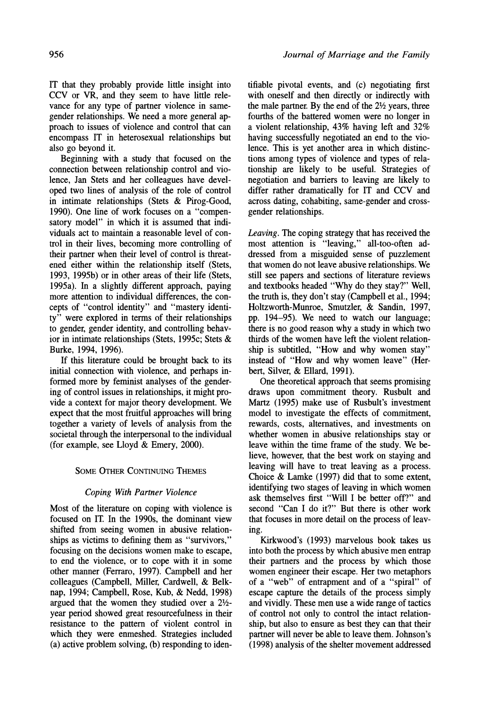**IT that they probably provide little insight into CCV or VR, and they seem to have little relevance for any type of partner violence in samegender relationships. We need a more general approach to issues of violence and control that can encompass IT in heterosexual relationships but also go beyond it.** 

**Beginning with a study that focused on the connection between relationship control and violence, Jan Stets and her colleagues have developed two lines of analysis of the role of control in intimate relationships (Stets & Pirog-Good, 1990). One line of work focuses on a "compensatory model" in which it is assumed that individuals act to maintain a reasonable level of control in their lives, becoming more controlling of their partner when their level of control is threatened either within the relationship itself (Stets, 1993, 1995b) or in other areas of their life (Stets, 1995a). In a slightly different approach, paying more attention to individual differences, the concepts of "control identity" and "mastery identity" were explored in terms of their relationships to gender, gender identity, and controlling behavior in intimate relationships (Stets, 1995c; Stets & Burke, 1994, 1996).** 

**If this literature could be brought back to its initial connection with violence, and perhaps informed more by feminist analyses of the gendering of control issues in relationships, it might provide a context for major theory development. We expect that the most fruitful approaches will bring together a variety of levels of analysis from the societal through the interpersonal to the individual (for example, see Lloyd & Emery, 2000).** 

#### **SOME OTHER CONTINUING THEMES**

# **Coping With Partner Violence**

**Most of the literature on coping with violence is focused on IT. In the 1990s, the dominant view shifted from seeing women in abusive relationships as victims to defining them as "survivors," focusing on the decisions women make to escape, to end the violence, or to cope with it in some other manner (Ferraro, 1997). Campbell and her colleagues (Campbell, Miller, Cardwell, & Belknap, 1994; Campbell, Rose, Kub, & Nedd, 1998) argued that the women they studied over a 212 year period showed great resourcefulness in their resistance to the pattern of violent control in which they were enmeshed. Strategies included (a) active problem solving, (b) responding to iden-** **tifiable pivotal events, and (c) negotiating first with oneself and then directly or indirectly with**  the male partner. By the end of the 2<sup>1</sup>/<sub>2</sub> years, three **fourths of the battered women were no longer in a violent relationship, 43% having left and 32% having successfully negotiated an end to the violence. This is yet another area in which distinctions among types of violence and types of relationship are likely to be useful. Strategies of negotiation and barriers to leaving are likely to differ rather dramatically for IT and CCV and across dating, cohabiting, same-gender and crossgender relationships.** 

**Leaving. The coping strategy that has received the most attention is "leaving," all-too-often addressed from a misguided sense of puzzlement that women do not leave abusive relationships. We still see papers and sections of literature reviews and textbooks headed "Why do they stay?" Well, the truth is, they don't stay (Campbell et al., 1994; Holtzworth-Munroe, Smutzler, & Sandin, 1997, pp. 194-95). We need to watch our language; there is no good reason why a study in which two thirds of the women have left the violent relationship is subtitled, "How and why women stay" instead of "How and why women leave" (Herbert, Silver, & Ellard, 1991).** 

**One theoretical approach that seems promising draws upon commitment theory. Rusbult and Martz (1995) make use of Rusbult's investment model to investigate the effects of commitment, rewards, costs, alternatives, and investments on whether women in abusive relationships stay or leave within the time frame of the study. We believe, however, that the best work on staying and leaving will have to treat leaving as a process. Choice & Lamke (1997) did that to some extent, identifying two stages of leaving in which women ask themselves first "Will I be better off?" and second "Can I do it?" But there is other work that focuses in more detail on the process of leaving.** 

**Kirkwood's (1993) marvelous book takes us into both the process by which abusive men entrap their partners and the process by which those women engineer their escape. Her two metaphors of a "web" of entrapment and of a "spiral" of escape capture the details of the process simply and vividly. These men use a wide range of tactics of control not only to control the intact relationship, but also to ensure as best they can that their partner will never be able to leave them. Johnson's (1998) analysis of the shelter movement addressed**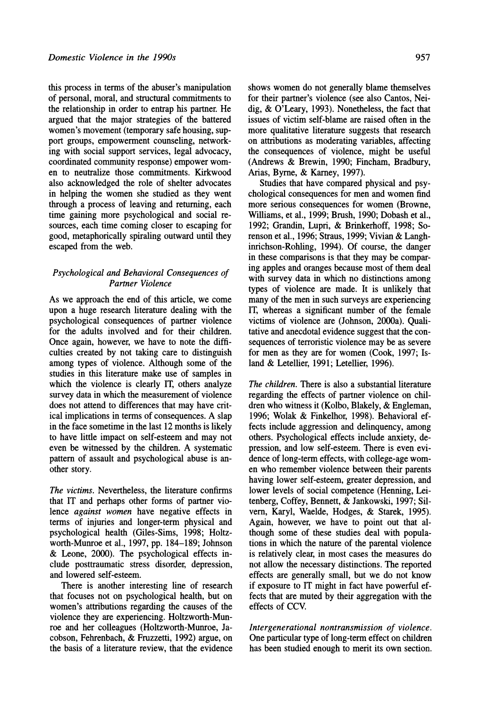**this process in terms of the abuser's manipulation of personal, moral, and structural commitments to the relationship in order to entrap his partner. He argued that the major strategies of the battered women's movement (temporary safe housing, support groups, empowerment counseling, networking with social support services, legal advocacy, coordinated community response) empower women to neutralize those commitments. Kirkwood also acknowledged the role of shelter advocates in helping the women she studied as they went through a process of leaving and returning, each time gaining more psychological and social resources, each time coming closer to escaping for good, metaphorically spiraling outward until they escaped from the web.** 

# **Psychological and Behavioral Consequences of Partner Violence**

**As we approach the end of this article, we come upon a huge research literature dealing with the psychological consequences of partner violence for the adults involved and for their children. Once again, however, we have to note the difficulties created by not taking care to distinguish among types of violence. Although some of the studies in this literature make use of samples in which the violence is clearly IT, others analyze survey data in which the measurement of violence does not attend to differences that may have critical implications in terms of consequences. A slap in the face sometime in the last 12 months is likely to have little impact on self-esteem and may not even be witnessed by the children. A systematic pattern of assault and psychological abuse is another story.** 

**The victims. Nevertheless, the literature confirms that IT and perhaps other forms of partner violence against women have negative effects in terms of injuries and longer-term physical and psychological health (Giles-Sims, 1998; Holtz**worth-Munroe et al., 1997, pp. 184-189; Johnson **& Leone, 2000). The psychological effects include posttraumatic stress disorder, depression, and lowered self-esteem.** 

**There is another interesting line of research that focuses not on psychological health, but on women's attributions regarding the causes of the violence they are experiencing. Holtzworth-Munroe and her colleagues (Holtzworth-Munroe, Jacobson, Fehrenbach, & Fruzzetti, 1992) argue, on the basis of a literature review, that the evidence**  **shows women do not generally blame themselves for their partner's violence (see also Cantos, Neidig, & O'Leary, 1993). Nonetheless, the fact that issues of victim self-blame are raised often in the more qualitative literature suggests that research on attributions as moderating variables, affecting the consequences of violence, might be useful (Andrews & Brewin, 1990; Fincham, Bradbury, Arias, Byrne, & Karney, 1997).** 

**Studies that have compared physical and psychological consequences for men and women find more serious consequences for women (Browne, Williams, et al., 1999; Brush, 1990; Dobash et al., 1992; Grandin, Lupri, & Brinkerhoff, 1998; Sorenson et al., 1996; Straus, 1999; Vivian & Langhinrichson-Rohling, 1994). Of course, the danger in these comparisons is that they may be comparing apples and oranges because most of them deal with survey data in which no distinctions among types of violence are made. It is unlikely that many of the men in such surveys are experiencing IT, whereas a significant number of the female victims of violence are (Johnson, 2000a). Qualitative and anecdotal evidence suggest that the consequences of terroristic violence may be as severe for men as they are for women (Cook, 1997; Island & Letellier, 1991; Letellier, 1996).** 

**The children. There is also a substantial literature regarding the effects of partner violence on children who witness it (Kolbo, Blakely, & Engleman, 1996; Wolak & Finkelhor, 1998). Behavioral effects include aggression and delinquency, among others. Psychological effects include anxiety, depression, and low self-esteem. There is even evidence of long-term effects, with college-age women who remember violence between their parents having lower self-esteem, greater depression, and lower levels of social competence (Henning, Leitenberg, Coffey, Bennett, & Jankowski, 1997; Silvern, Karyl, Waelde, Hodges, & Starek, 1995). Again, however, we have to point out that although some of these studies deal with populations in which the nature of the parental violence is relatively clear, in most cases the measures do not allow the necessary distinctions. The reported effects are generally small, but we do not know if exposure to IT might in fact have powerful effects that are muted by their aggregation with the effects of CCV.** 

**Intergenerational nontransmission of violence. One particular type of long-term effect on children has been studied enough to merit its own section.**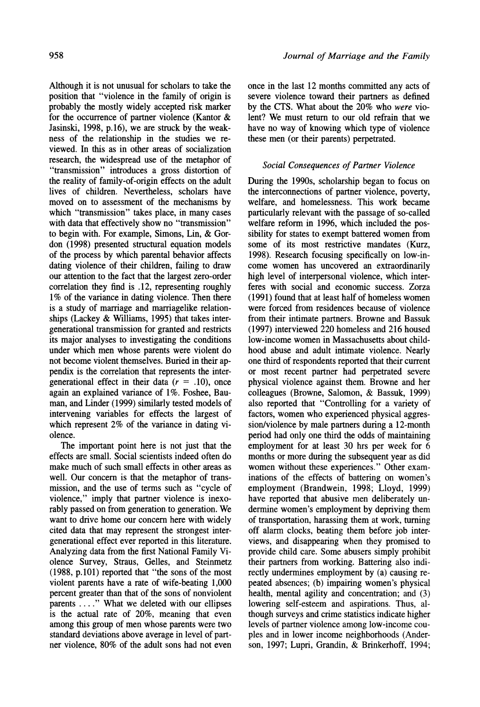**Although it is not unusual for scholars to take the position that "violence in the family of origin is probably the mostly widely accepted risk marker for the occurrence of partner violence (Kantor & Jasinski, 1998, p.16), we are struck by the weakness of the relationship in the studies we reviewed. In this as in other areas of socialization research, the widespread use of the metaphor of "transmission" introduces a gross distortion of the reality of family-of-origin effects on the adult lives of children. Nevertheless, scholars have moved on to assessment of the mechanisms by which "transmission" takes place, in many cases with data that effectively show no "transmission" to begin with. For example, Simons, Lin, & Gordon (1998) presented structural equation models of the process by which parental behavior affects dating violence of their children, failing to draw our attention to the fact that the largest zero-order correlation they find is .12, representing roughly 1% of the variance in dating violence. Then there is a study of marriage and marriagelike relationships (Lackey & Williams, 1995) that takes intergenerational transmission for granted and restricts its major analyses to investigating the conditions under which men whose parents were violent do not become violent themselves. Buried in their appendix is the correlation that represents the inter**generational effect in their data  $(r = .10)$ , once **again an explained variance of 1%. Foshee, Bauman, and Linder (1999) similarly tested models of intervening variables for effects the largest of which represent 2% of the variance in dating violence.** 

**The important point here is not just that the effects are small. Social scientists indeed often do make much of such small effects in other areas as well. Our concern is that the metaphor of transmission, and the use of terms such as "cycle of violence," imply that partner violence is inexorably passed on from generation to generation. We want to drive home our concern here with widely cited data that may represent the strongest intergenerational effect ever reported in this literature. Analyzing data from the first National Family Violence Survey, Straus, Gelles, and Steinmetz (1988, p.101) reported that "the sons of the most violent parents have a rate of wife-beating 1,000 percent greater than that of the sons of nonviolent parents ...." What we deleted with our ellipses is the actual rate of 20%, meaning that even among this group of men whose parents were two standard deviations above average in level of partner violence, 80% of the adult sons had not even**  **once in the last 12 months committed any acts of severe violence toward their partners as defined by the CTS. What about the 20% who were violent? We must return to our old refrain that we have no way of knowing which type of violence these men (or their parents) perpetrated.** 

# **Social Consequences of Partner Violence**

**During the 1990s, scholarship began to focus on the interconnections of partner violence, poverty, welfare, and homelessness. This work became particularly relevant with the passage of so-called welfare reform in 1996, which included the possibility for states to exempt battered women from some of its most restrictive mandates (Kurz, 1998). Research focusing specifically on low-income women has uncovered an extraordinarily high level of interpersonal violence, which interferes with social and economic success. Zorza (1991) found that at least half of homeless women were forced from residences because of violence from their intimate partners. Browne and Bassuk (1997) interviewed 220 homeless and 216 housed low-income women in Massachusetts about childhood abuse and adult intimate violence. Nearly one third of respondents reported that their current or most recent partner had perpetrated severe physical violence against them. Browne and her colleagues (Browne, Salomon, & Bassuk, 1999) also reported that "Controlling for a variety of factors, women who experienced physical aggression/violence by male partners during a 12-month period had only one third the odds of maintaining employment for at least 30 hrs per week for 6 months or more during the subsequent year as did women without these experiences." Other examinations of the effects of battering on women's employment (Brandwein, 1998; Lloyd, 1999) have reported that abusive men deliberately undermine women's employment by depriving them of transportation, harassing them at work, turning off alarm clocks, beating them before job interviews, and disappearing when they promised to provide child care. Some abusers simply prohibit their partners from working. Battering also indirectly undermines employment by (a) causing repeated absences; (b) impairing women's physical health, mental agility and concentration; and (3) lowering self-esteem and aspirations. Thus, although surveys and crime statistics indicate higher levels of partner violence among low-income couples and in lower income neighborhoods (Anderson, 1997; Lupri, Grandin, & Brinkerhoff, 1994;**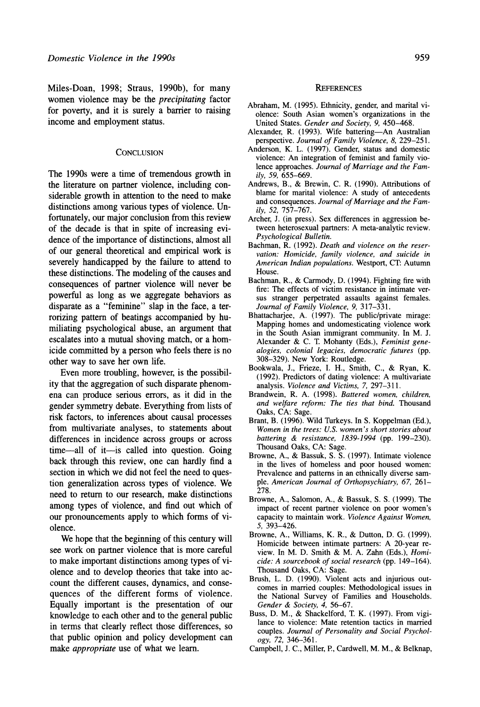**Miles-Doan, 1998; Straus, 1990b), for many women violence may be the precipitating factor for poverty, and it is surely a barrier to raising income and employment status.** 

### **CONCLUSION**

**The 1990s were a time of tremendous growth in the literature on partner violence, including considerable growth in attention to the need to make distinctions among various types of violence. Unfortunately, our major conclusion from this review of the decade is that in spite of increasing evidence of the importance of distinctions, almost all of our general theoretical and empirical work is severely handicapped by the failure to attend to these distinctions. The modeling of the causes and consequences of partner violence will never be powerful as long as we aggregate behaviors as disparate as a "feminine" slap in the face, a terrorizing pattern of beatings accompanied by humiliating psychological abuse, an argument that escalates into a mutual shoving match, or a homicide committed by a person who feels there is no other way to save her own life.** 

**Even more troubling, however, is the possibility that the aggregation of such disparate phenomena can produce serious errors, as it did in the gender symmetry debate. Everything from lists of risk factors, to inferences about causal processes from multivariate analyses, to statements about differences in incidence across groups or across time-all of it-is called into question. Going back through this review, one can hardly find a section in which we did not feel the need to question generalization across types of violence. We need to return to our research, make distinctions among types of violence, and find out which of our pronouncements apply to which forms of violence.** 

**We hope that the beginning of this century will see work on partner violence that is more careful to make important distinctions among types of violence and to develop theories that take into account the different causes, dynamics, and consequences of the different forms of violence. Equally important is the presentation of our knowledge to each other and to the general public in terms that clearly reflect those differences, so that public opinion and policy development can make appropriate use of what we learn.** 

#### **REFERENCES**

- **Abraham, M. (1995). Ethnicity, gender, and marital violence: South Asian women's organizations in the United States. Gender and Society, 9, 450-468.**
- Alexander, R. (1993). Wife battering-An Australian **perspective. Journal of Family Violence, 8, 229-251.**
- **Anderson, K. L. (1997). Gender, status and domestic violence: An integration of feminist and family violence approaches. Journal of Marriage and the Family, 59, 655-669.**
- **Andrews, B., & Brewin, C. R. (1990). Attributions of blame for marital violence: A study of antecedents and consequences. Journal of Marriage and the Family, 52, 757-767.**
- **Archer, J. (in press). Sex differences in aggression between heterosexual partners: A meta-analytic review. Psychological Bulletin.**
- **Bachman, R. (1992). Death and violence on the reservation: Homicide, family violence, and suicide in American Indian populations. Westport, CT: Autumn House.**
- **Bachman, R., & Carmody, D. (1994). Fighting fire with fire: The effects of victim resistance in intimate versus stranger perpetrated assaults against females. Journal of Family Violence, 9, 317-331.**
- **Bhattacharjee, A. (1997). The public/private mirage: Mapping homes and undomesticating violence work in the South Asian immigrant community. In M. J. Alexander & C. T. Mohanty (Eds.), Feminist genealogies, colonial legacies, democratic futures (pp. 308-329). New York: Routledge.**
- **Bookwala, J., Frieze, I. H., Smith, C., & Ryan, K. (1992). Predictors of dating violence: A multivariate analysis. Violence and Victims, 7, 297-311.**
- **Brandwein, R. A. (1998). Battered women, children, and welfare reform: The ties that bind. Thousand Oaks, CA: Sage.**
- **Brant, B. (1996). Wild Turkeys. In S. Koppelman (Ed.), Women in the trees: U.S. women's short stories about battering & resistance, 1839-1994 (pp. 199-230). Thousand Oaks, CA: Sage.**
- **Browne, A., & Bassuk, S. S. (1997). Intimate violence in the lives of homeless and poor housed women: Prevalence and patterns in an ethnically diverse sample. American Journal of Orthopsychiatry, 67, 261- 278.**
- **Browne, A., Salomon, A., & Bassuk, S. S. (1999). The impact of recent partner violence on poor women's capacity to maintain work. Violence Against Women, 5, 393-426.**
- **Browne, A., Williams, K. R., & Dutton, D. G. (1999). Homicide between intimate partners: A 20-year review. In M. D. Smith & M. A. Zahn (Eds.), Homicide: A sourcebook of social research (pp. 149-164). Thousand Oaks, CA: Sage.**
- **Brush, L. D. (1990). Violent acts and injurious outcomes in married couples: Methodological issues in the National Survey of Families and Households. Gender & Society, 4, 56-67.**
- **Buss, D. M., & Shackelford, T. K. (1997). From vigilance to violence: Mate retention tactics in married couples. Journal of Personality and Social Psychology, 72, 346-361.**
- **Campbell, J. C., Miller, P., Cardwell, M. M., & Belknap,**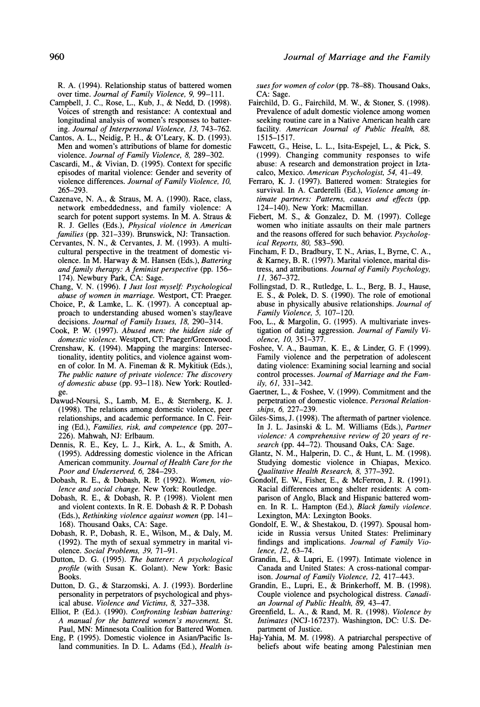**R. A. (1994). Relationship status of battered women over time. Journal of Family Violence, 9, 99-111.** 

- **Campbell, J. C., Rose, L., Kub, J., & Nedd, D. (1998). Voices of strength and resistance: A contextual and longitudinal analysis of women's responses to battering. Journal of Interpersonal Violence, 13, 743-762.**
- **Cantos, A. L., Neidig, P. H., & O'Leary, K. D. (1993). Men and women's attributions of blame for domestic violence. Journal of Family Violence, 8, 289-302.**
- **Cascardi, M., & Vivian, D. (1995). Context for specific episodes of marital violence: Gender and severity of violence differences. Journal of Family Violence, 10, 265-293.**
- **Cazenave, N. A., & Straus, M. A. (1990). Race, class, network embeddedness, and family violence: A search for potent support systems. In M. A. Straus & R. J. Gelles (Eds.), Physical violence in American families (pp. 321-339). Brunswick, NJ: Transaction.**
- **Cervantes, N. N., & Cervantes, J. M. (1993). A multicultural perspective in the treatment of domestic violence. In M. Harway & M. Hansen (Eds.), Battering and family therapy: A feminist perspective (pp. 156- 174). Newbury Park, CA: Sage.**
- **Chang, V. N. (1996). I Just lost myself: Psychological abuse of women in marriage. Westport, CT: Praeger.**
- **Choice, P., & Lamke, L. K. (1997). A conceptual approach to understanding abused women's stay/leave decisions. Journal of Family Issues, 18, 290-314.**
- **Cook, P. W. (1997). Abused men: the hidden side of domestic violence. Westport, CT: Praeger/Greenwood.**
- **Crenshaw, K. (1994). Mapping the margins: Intersectionality, identity politics, and violence against women of color. In M. A. Fineman & R. Mykitiuk (Eds.), The public nature of private violence: The discovery of domestic abuse (pp. 93-118). New York: Routledge.**
- **Dawud-Noursi, S., Lamb, M. E., & Stemberg, K. J. (1998). The relations among domestic violence, peer relationships, and academic performance. In C. Feiring (Ed.), Families, risk, and competence (pp. 207- 226). Mahwah, NJ: Erlbaum.**
- **Dennis, R. E., Key, L. J., Kirk, A. L., & Smith, A. (1995). Addressing domestic violence in the African American community. Journal of Health Care for the Poor and Underserved, 6, 284-293.**
- **Dobash, R. E., & Dobash, R. P. (1992). Women, violence and social change. New York: Routledge.**
- **Dobash, R. E., & Dobash, R. P. (1998). Violent men and violent contexts. In R. E. Dobash & R. P. Dobash (Eds.), Rethinking violence against women (pp. 141- 168). Thousand Oaks, CA: Sage.**
- **Dobash, R. P., Dobash, R. E., Wilson, M., & Daly, M. (1992). The myth of sexual symmetry in marital violence. Social Problems, 39, 71-91.**
- **Dutton, D. G. (1995). The batterer: A psychological profile (with Susan K. Golant). New York: Basic Books.**
- **Dutton, D. G., & Starzomski, A. J. (1993). Borderline personality in perpetrators of psychological and physical abuse. Violence and Victims, 8, 327-338.**
- **Elliot, P. (Ed.). (1990). Confronting lesbian battering: A manual for the battered women's movement. St. Paul, MN: Minnesota Coalition for Battered Women.**
- **Eng, P. (1995). Domestic violence in Asian/Pacific Island communities. In D. L. Adams (Ed.), Health is-**

**sues for women of color (pp. 78-88). Thousand Oaks, CA: Sage.** 

- **Fairchild, D. G., Fairchild, M. W., & Stoner, S. (1998). Prevalence of adult domestic violence among women seeking routine care in a Native American health care facility. American Journal of Public Health, 88, 1515-1517.**
- **Fawcett, G., Heise, L. L., Isita-Espejel, L., & Pick, S. (1999). Changing community responses to wife abuse: A research and demonstration project in Iztacalco, Mexico. American Psychologist, 54, 41-49.**
- **Ferraro, K. J. (1997). Battered women: Strategies for survival. In A. Carderelli (Ed.), Violence among intimate partners: Patterns, causes and effects (pp. 124-140). New York: Macmillan.**
- **Fiebert, M. S., & Gonzalez, D. M. (1997). College women who initiate assaults on their male partners and the reasons offered for such behavior. Psychological Reports, 80, 583-590.**
- **Fincham, F D., Bradbury, T N., Arias, I., Byrne, C. A., & Kamey, B. R. (1997). Marital violence, marital distress, and attributions. Journal of Family Psychology, 11, 367-372.**
- **Follingstad, D. R., Rutledge, L. L., Berg, B. J., Hause, E. S., & Polek, D. S. (1990). The role of emotional abuse in physically abusive relationships. Journal of Family Violence, 5, 107-120.**
- **Foo, L., & Margolin, G. (1995). A multivariate investigation of dating aggression. Journal of Family Violence, 10, 351-377.**
- **Foshee, V. A., Bauman, K. E., & Linder, G. F. (1999). Family violence and the perpetration of adolescent dating violence: Examining social learning and social control processes. Journal of Marriage and the Family, 61, 331-342.**
- **Gaertner, L., & Foshee, V. (1999). Commitment and the perpetration of domestic violence. Personal Relationships, 6, 227-239.**
- **Giles-Sims, J. (1998). The aftermath of partner violence. In J. L. Jasinski & L. M. Williams (Eds.), Partner violence: A comprehensive review of 20 years of research (pp. 44-72). Thousand Oaks, CA: Sage.**
- **Glantz, N. M., Halperin, D. C., & Hunt, L. M. (1998). Studying domestic violence in Chiapas, Mexico. Qualitative Health Research, 8, 377-392.**
- **Gondolf, E. W., Fisher, E., & McFerron, J. R. (1991). Racial differences among shelter residents: A comparison of Anglo, Black and Hispanic battered women. In R. L. Hampton (Ed.), Black family violence. Lexington, MA: Lexington Books.**
- **Gondolf, E. W., & Shestakou, D. (1997). Spousal homicide in Russia versus United States: Preliminary findings and implications. Journal of Family Violence, 12, 63-74.**
- **Grandin, E., & Lupri, E. (1997). Intimate violence in Canada and United States: A cross-national comparison. Journal of Family Violence, 12, 417-443.**
- **Grandin, E., Lupri, E., & Brinkerhoff, M. B. (1998). Couple violence and psychological distress. Canadian Journal of Public Health, 89, 43-47.**
- **Greenfield, L. A., & Rand, M. R. (1998). Violence by Intimates (NCJ-167237). Washington, DC: U.S. Department of Justice.**
- **Haj-Yahia, M. M. (1998). A patriarchal perspective of beliefs about wife beating among Palestinian men**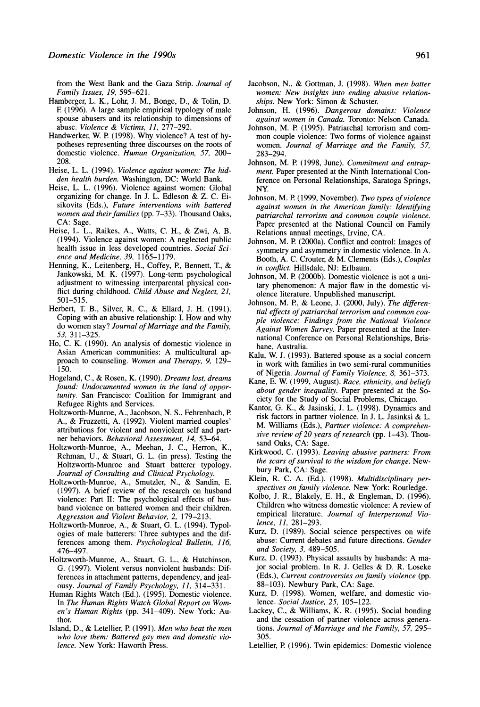**from the West Bank and the Gaza Strip. Journal of Family Issues, 19, 595-621.** 

- **Hamberger, L. K., Lohr, J. M., Bonge, D., & Tolin, D. F. (1996). A large sample empirical typology of male spouse abusers and its relationship to dimensions of abuse. Violence & Victims, 11, 277-292.**
- **Handwerker, W. P. (1998). Why violence? A test of hypotheses representing three discourses on the roots of domestic violence. Human Organization, 57, 200- 208.**
- **Heise, L. L. (1994). Violence against women: The hidden health burden. Washington, DC: World Bank.**
- **Heise, L. L. (1996). Violence against women: Global organizing for change. In J. L. Edleson & Z. C. Eisikovits (Eds.), Future interventions with battered women and their families (pp. 7-33). Thousand Oaks, CA: Sage.**
- **Heise, L. L., Raikes, A., Watts, C. H., & Zwi, A. B. (1994). Violence against women: A neglected public health issue in less developed countries. Social Science and Medicine, 39, 1165-1179.**
- **Henning, K., Leitenberg, H., Coffey, P., Bennett, T., & Jankowski, M. K. (1997). Long-term psychological adjustment to witnessing interparental physical conflict during childhood. Child Abuse and Neglect, 21, 501-515.**
- **Herbert, T. B., Silver, R. C., & Ellard, J. H. (1991). Coping with an abusive relationship: I. How and why do women stay? Journal of Marriage and the Family, 53, 311-325.**
- **Ho, C. K. (1990). An analysis of domestic violence in Asian American communities: A multicultural approach to counseling. Women and Therapy, 9, 129- 150.**
- **Hogeland, C., & Rosen, K. (1990). Dreams lost, dreams found: Undocumented women in the land of opportunity. San Francisco: Coalition for Immigrant and Refugee Rights and Services.**
- **Holtzworth-Munroe, A., Jacobson, N. S., Fehrenbach, P. A., & Fruzzetti, A. (1992). Violent married couples' attributions for violent and nonviolent self and partner behaviors. Behavioral Assessment, 14, 53-64.**
- **Holtzworth-Munroe, A., Meehan, J. C., Herron, K., Rehman, U., & Stuart, G. L. (in press). Testing the Holtzworth-Munroe and Stuart batterer typology. Journal of Consulting and Clinical Psychology.**
- **Holtzworth-Munroe, A., Smutzler, N., & Sandin, E. (1997). A brief review of the research on husband violence: Part II: The psychological effects of husband violence on battered women and their children. Aggression and Violent Behavior, 2, 179-213.**
- **Holtzworth-Munroe, A., & Stuart, G. L. (1994). Typologies of male batterers: Three subtypes and the differences among them. Psychological Bulletin, 116, 476-497.**
- **Holtzworth-Munroe, A., Stuart, G. L., & Hutchinson, G. (1997). Violent versus nonviolent husbands: Differences in attachment patterns, dependency, and jealousy. Journal of Family Psychology, 11, 314-331.**
- **Human Rights Watch (Ed.). (1995). Domestic violence. In The Human Rights Watch Global Report on Women's Human Rights (pp. 341-409). New York: Author.**
- **Island, D., & Letellier, P. (1991). Men who beat the men who love them: Battered gay men and domestic violence. New York: Haworth Press.**
- **Jacobson, N., & Gottman, J. (1998). When men batter women: New insights into ending abusive relationships. New York: Simon & Schuster.**
- **Johnson, H. (1996). Dangerous domains: Violence against women in Canada. Toronto: Nelson Canada.**
- **Johnson, M. P. (1995). Patriarchal terrorism and common couple violence: Two forms of violence against women. Journal of Marriage and the Family, 57, 283-294.**
- **Johnson, M. P. (1998, June). Commitment and entrapment. Paper presented at the Ninth International Conference on Personal Relationships, Saratoga Springs, NY.**
- **Johnson, M. P. (1999, November). Two types of violence against women in the American family: Identifying patriarchal terrorism and common couple violence. Paper presented at the National Council on Family Relations annual meetings, Irvine, CA.**
- **Johnson, M. P. (2000a). Conflict and control: Images of symmetry and asymmetry in domestic violence. In A. Booth, A. C. Crouter, & M. Clements (Eds.), Couples in conflict. Hillsdale, NJ: Erlbaum.**
- **Johnson, M. P. (2000b). Domestic violence is not a unitary phenomenon: A major flaw in the domestic violence literature. Unpublished manuscript.**
- **Johnson, M. P., & Leone, J. (2000, July). The differential effects of patriarchal terrorism and common couple violence: Findings from the National Violence Against Women Survey. Paper presented at the International Conference on Personal Relationships, Brisbane, Australia.**
- **Kalu, W. J. (1993). Battered spouse as a social concern in work with families in two semi-rural communities of Nigeria. Journal of Family Violence, 8, 361-373.**
- **Kane, E. W. (1999, August). Race, ethnicity, and beliefs about gender inequality. Paper presented at the Society for the Study of Social Problems, Chicago.**
- **Kantor, G. K., & Jasinski, J. L. (1998). Dynamics and risk factors in partner violence. In J. L. Jasinksi & L. M. Williams (Eds.), Partner violence: A comprehensive review of 20 years of research (pp. 1-43). Thousand Oaks, CA: Sage.**
- **Kirkwood, C. (1993). Leaving abusive partners: From the scars of survival to the wisdom for change. Newbury Park, CA: Sage.**
- **Klein, R. C. A. (Ed.). (1998). Multidisciplinary perspectives on family violence. New York: Routledge.**
- **Kolbo, J. R., Blakely, E. H., & Engleman, D. (1996). Children who witness domestic violence: A review of empirical literature. Journal of Interpersonal Violence, 11, 281-293.**
- **Kurz, D. (1989). Social science perspectives on wife abuse: Current debates and future directions. Gender and Society, 3, 489-505.**
- **Kurz, D. (1993). Physical assaults by husbands: A major social problem. In R. J. Gelles & D. R. Loseke (Eds.), Current controversies on family violence (pp. 88-103). Newbury Park, CA: Sage.**
- **Kurz, D. (1998). Women, welfare, and domestic violence. Social Justice, 25, 105-122.**
- **Lackey, C., & Williams, K. R. (1995). Social bonding and the cessation of partner violence across generations. Journal of Marriage and the Family, 57, 295- 305.**
- **Letellier, P. (1996). Twin epidemics: Domestic violence**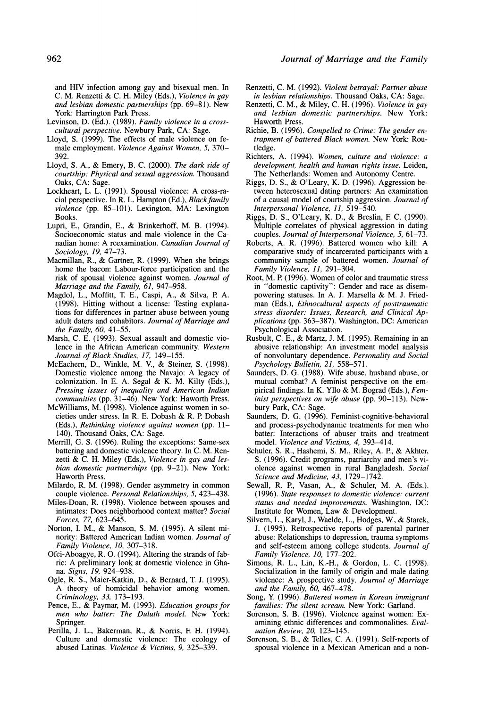**and HIV infection among gay and bisexual men. In C. M. Renzetti & C. H. Miley (Eds.), Violence in gay and lesbian domestic partnerships (pp. 69-81). New York: Harrington Park Press.** 

- **Levinson, D. (Ed.). (1989). Family violence in a crosscultural perspective. Newbury Park, CA: Sage.**
- **Lloyd, S. (1999). The effects of male violence on female employment. Violence Against Women, 5, 370- 392.**
- **Lloyd, S. A., & Emery, B. C. (2000). The dark side of courtship: Physical and sexual aggression. Thousand Oaks, CA: Sage.**
- **Lockheart, L. L. (1991). Spousal violence: A cross-racial perspective. In R. L. Hampton (Ed.), Black family violence (pp. 85-101). Lexington, MA: Lexington Books.**
- **Lupri, E., Grandin, E., & Brinkerhoff, M. B. (1994). Socioeconomic status and male violence in the Canadian home: A reexamination. Canadian Journal of Sociology, 19, 47-73.**
- **Macmillan, R., & Gartner, R. (1999). When she brings home the bacon: Labour-force participation and the risk of spousal violence against women. Journal of Marriage and the Family, 61, 947-958.**
- **Magdol, L., Moffitt, T. E., Caspi, A., & Silva, P. A. (1998). Hitting without a license: Testing explanations for differences in partner abuse between young adult daters and cohabitors. Journal of Marriage and the Family, 60, 41-55.**
- **Marsh, C. E. (1993). Sexual assault and domestic violence in the African American community. Western Journal of Black Studies, 17, 149-155.**
- **McEachern, D., Winkle, M. V., & Steiner, S. (1998). Domestic violence among the Navajo: A legacy of colonization. In E. A. Segal & K. M. Kilty (Eds.), Pressing issues of inequality and American Indian communities (pp. 31-46). New York: Haworth Press.**
- **McWilliams, M. (1998). Violence against women in societies under stress. In R. E. Dobash & R. P. Dobash (Eds.), Rethinking violence against women (pp. 11- 140). Thousand Oaks, CA: Sage.**
- **Merrill, G. S. (1996). Ruling the exceptions: Same-sex battering and domestic violence theory. In C. M. Renzetti & C. H. Miley (Eds.), Violence in gay and lesbian domestic partnerships (pp. 9-21). New York: Haworth Press.**
- **Milardo, R. M. (1998). Gender asymmetry in common couple violence. Personal Relationships, 5, 423-438.**
- **Miles-Doan, R. (1998). Violence between spouses and intimates: Does neighborhood context matter? Social Forces, 77, 623-645.**
- **Norton, I. M., & Manson, S. M. (1995). A silent minority: Battered American Indian women. Journal of Family Violence, 10, 307-318.**
- **Ofei-Aboagye, R. 0. (1994). Altering the strands of fabric: A preliminary look at domestic violence in Ghana. Signs, 19, 924-938.**
- **Ogle, R. S., Maier-Katkin, D., & Bernard, T. J. (1995). A theory of homicidal behavior among women. Criminology, 33, 173-193.**
- **Pence, E., & Paymar, M. (1993). Education groups for men who batter: The Duluth model. New York: Springer.**
- **Perilla, J. L., Bakerman, R., & Norris, E H. (1994). Culture and domestic violence: The ecology of abused Latinas. Violence & Victims, 9, 325-339.**
- **Renzetti, C. M. (1992). Violent betrayal: Partner abuse in lesbian relationships. Thousand Oaks, CA: Sage.**
- **Renzetti, C. M., & Miley, C. H. (1996). Violence in gay and lesbian domestic partnerships. New York: Haworth Press.**
- **Richie, B. (1996). Compelled to Crime: The gender entrapment of battered Black women. New York: Routledge.**
- **Richters, A. (1994). Women, culture and violence: a development, health and human rights issue. Leiden, The Netherlands: Women and Autonomy Centre.**
- **Riggs, D. S., & O'Leary, K. D. (1996). Aggression between heterosexual dating partners: An examination of a causal model of courtship aggression. Journal of Interpersonal Violence, 11, 519-540.**
- **Riggs, D. S., O'Leary, K. D., & Breslin, F. C. (1990). Multiple correlates of physical aggression in dating couples. Journal of Interpersonal Violence, 5, 61-73.**
- **Roberts, A. R. (1996). Battered women who kill: A comparative study of incarcerated participants with a community sample of battered women. Journal of Family Violence, 11, 291-304.**
- **Root, M. P. (1996). Women of color and traumatic stress in "domestic captivity": Gender and race as disempowering statuses. In A. J. Marsella & M. J. Friedman (Eds.), Ethnocultural aspects of posttraumatic stress disorder: Issues, Research, and Clinical Applications (pp. 363-387). Washington, DC: American Psychological Association.**
- **Rusbult, C. E., & Martz, J. M. (1995). Remaining in an abusive relationship: An investment model analysis of nonvoluntary dependence. Personality and Social Psychology Bulletin, 21, 558-571.**
- **Saunders, D. G. (1988). Wife abuse, husband abuse, or mutual combat? A feminist perspective on the empirical findings. In K. Yllo & M. Bograd (Eds.), Feminist perspectives on wife abuse (pp. 90-113). Newbury Park, CA: Sage.**
- **Saunders, D. G. (1996). Feminist-cognitive-behavioral and process-psychodynamic treatments for men who batter: Interactions of abuser traits and treatment model. Violence and Victims, 4, 393-414.**
- **Schuler, S. R., Hashemi, S. M., Riley, A. P., & Akhter, S. (1996). Credit programs, patriarchy and men's violence against women in rural Bangladesh. Social Science and Medicine, 43, 1729-1742.**
- **Sewall, R. P., Vasan, A., & Schuler, M. A. (Eds.). (1996). State responses to domestic violence: current status and needed improvements. Washington, DC: Institute for Women, Law & Development.**
- **Silvern, L., Karyl, J., Waelde, L., Hodges, W., & Starek, J. (1995). Retrospective reports of parental partner abuse: Relationships to depression, trauma symptoms and self-esteem among college students. Journal of Family Violence, 10, 177-202.**
- **Simons, R. L., Lin, K.-H., & Gordon, L. C. (1998). Socialization in the family of origin and male dating violence: A prospective study. Journal of Marriage and the Family, 60, 467-478.**
- **Song, Y. (1996). Battered women in Korean immigrant families: The silent scream. New York: Garland.**
- **Sorenson, S. B. (1996). Violence against women: Examining ethnic differences and commonalities. Evaluation Review, 20, 123-145.**
- **Sorenson, S. B., & Telles, C. A. (1991). Self-reports of spousal violence in a Mexican American and a non-**